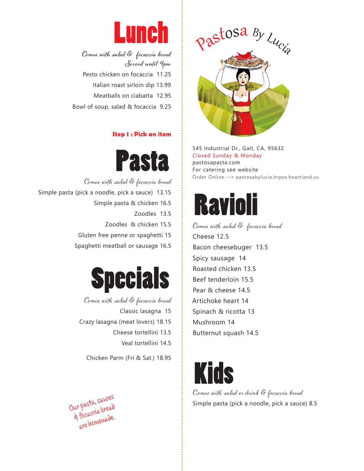

**Comes with salad & focaccia bread Served until 4pm** Pesto chicken on focaccia 11.25 Italian roast sirloin dip 13.99 Meatballs on ciabatta 12.95 Bowl of soup, salad & focaccia 9.25

## **Step 1 : Pick an item**



Comes with salad & focaccia bread Simple pasta (pick a noodle, pick a sauce) 13.15 Simple pasta & chicken 16.5 Zoodles 13.5 Zoodles & chicken 15.5 Gluten free penne or spaghetti 15 Spaghetti meatball or sausage 16.5



Comes with salad & focaccia bread Classic lasagna 15 Crazy lasagna (meat lovers) 18.15 Cheese tortellini 13.5 Veal tortellini 14.5

Chicken Parm (Fri & Sat.) 18.95





545 Industrial Dr., Galt, CA, 95632 Closed Sunday & Monday pastosapasta.com For catering see website Order Online --> pastosabylucia.hrpos.heartland.us



Comes with salad & focaccia bread Cheese 12.5 Bacon cheesebuger 13.5 Spicy sausage 14 Roasted chicken 13.5 Beef tenderloin 15.5 Pear & cheese 14.5 Artichoke heart 14 Spinach & ricotta 13 Mushroom 14 Butternut squash 14.5



C, omes with salad or drink & focaccia bread Simple pasta (pick a noodle, pick a sauce) 8.5